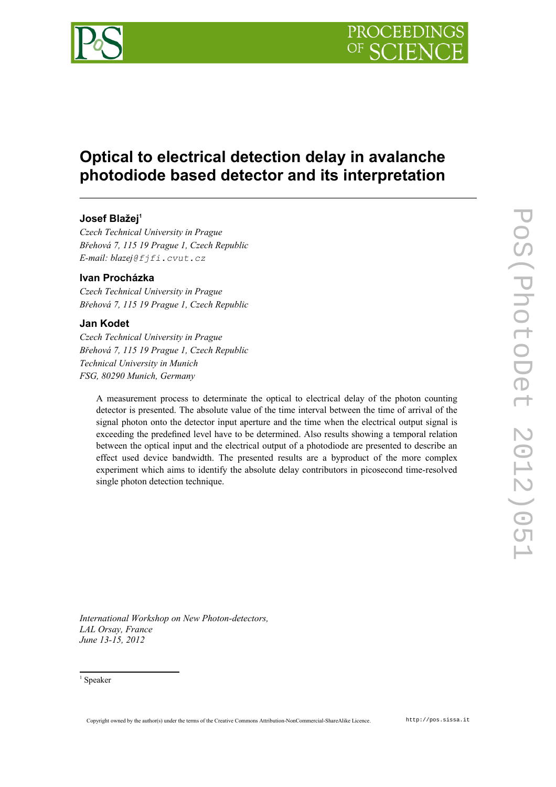

# **Optical to electrical detection delay in avalanche photodiode based detector and its interpretation**

# **Josef Blažej[1](#page-0-0)**

*Czech Technical University in Prague Břehová 7, 115 19 Prague 1, Czech Republic E-mail: blazej@fjfi.cvut.cz*

## **Ivan Procházka**

*Czech Technical University in Prague Břehová 7, 115 19 Prague 1, Czech Republic*

## **Jan Kodet**

*Czech Technical University in Prague Břehová 7, 115 19 Prague 1, Czech Republic Technical University in Munich FSG, 80290 Munich, Germany*

A measurement process to determinate the optical to electrical delay of the photon counting detector is presented. The absolute value of the time interval between the time of arrival of the signal photon onto the detector input aperture and the time when the electrical output signal is exceeding the predefined level have to be determined. Also results showing a temporal relation between the optical input and the electrical output of a photodiode are presented to describe an effect used device bandwidth. The presented results are a byproduct of the more complex experiment which aims to identify the absolute delay contributors in picosecond time-resolved single photon detection technique.

*International Workshop on New Photon-detectors, LAL Orsay, France June 13-15, 2012*

<span id="page-0-0"></span><sup>1</sup> Speaker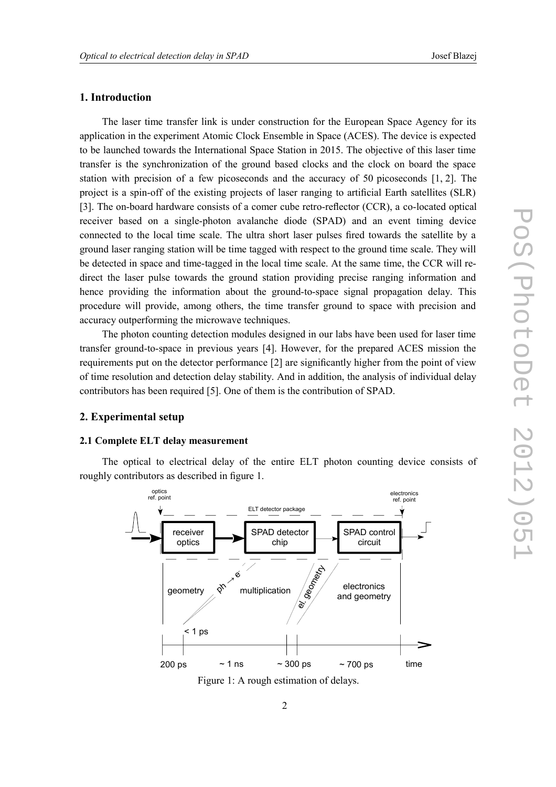### **1. Introduction**

The laser time transfer link is under construction for the European Space Agency for its application in the experiment Atomic Clock Ensemble in Space (ACES). The device is expected to be launched towards the International Space Station in 2015. The objective of this laser time transfer is the synchronization of the ground based clocks and the clock on board the space station with precision of a few picoseconds and the accuracy of 50 picoseconds [1, 2]. The project is a spin-off of the existing projects of laser ranging to artificial Earth satellites (SLR) [3]. The on-board hardware consists of a comer cube retro-reflector (CCR), a co-located optical receiver based on a single-photon avalanche diode (SPAD) and an event timing device connected to the local time scale. The ultra short laser pulses fired towards the satellite by a ground laser ranging station will be time tagged with respect to the ground time scale. They will be detected in space and time-tagged in the local time scale. At the same time, the CCR will redirect the laser pulse towards the ground station providing precise ranging information and hence providing the information about the ground-to-space signal propagation delay. This procedure will provide, among others, the time transfer ground to space with precision and accuracy outperforming the microwave techniques.

The photon counting detection modules designed in our labs have been used for laser time transfer ground-to-space in previous years [4]. However, for the prepared ACES mission the requirements put on the detector performance [2] are significantly higher from the point of view of time resolution and detection delay stability. And in addition, the analysis of individual delay contributors has been required [5]. One of them is the contribution of SPAD.

#### **2. Experimental setup**

#### **2.1 Complete ELT delay measurement**

The optical to electrical delay of the entire ELT photon counting device consists of roughly contributors as described in figure 1.

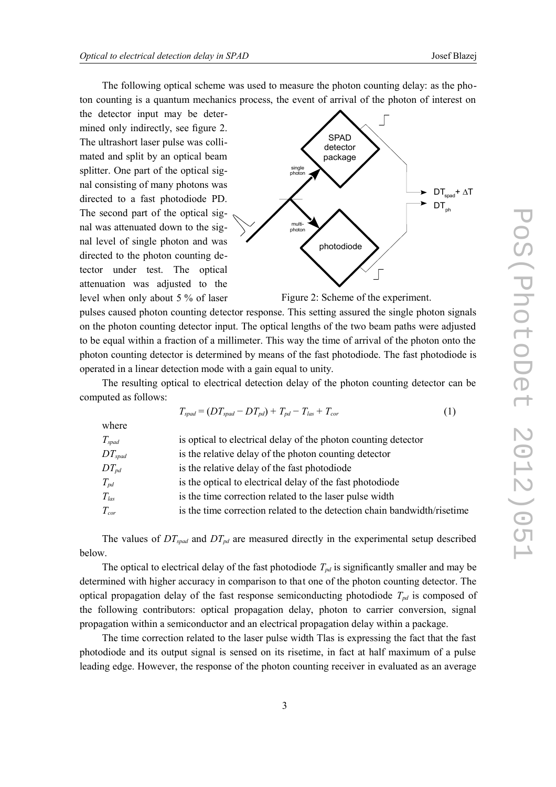The following optical scheme was used to measure the photon counting delay: as the photon counting is a quantum mechanics process, the event of arrival of the photon of interest on

the detector input may be determined only indirectly, see figure 2. The ultrashort laser pulse was collimated and split by an optical beam splitter. One part of the optical signal consisting of many photons was directed to a fast photodiode PD. The second part of the optical signal was attenuated down to the signal level of single photon and was directed to the photon counting detector under test. The optical attenuation was adjusted to the level when only about 5 % of laser



Figure 2: Scheme of the experiment.

pulses caused photon counting detector response. This setting assured the single photon signals on the photon counting detector input. The optical lengths of the two beam paths were adjusted to be equal within a fraction of a millimeter. This way the time of arrival of the photon onto the photon counting detector is determined by means of the fast photodiode. The fast photodiode is operated in a linear detection mode with a gain equal to unity.

The resulting optical to electrical detection delay of the photon counting detector can be computed as follows:

$$
T_{spad} = (DT_{spad} - DT_{pd}) + T_{pd} - T_{las} + T_{cor}
$$
\n
$$
\tag{1}
$$

| where                       |                                                                          |
|-----------------------------|--------------------------------------------------------------------------|
| $T_{spad}$                  | is optical to electrical delay of the photon counting detector           |
| $DT_{spad}$                 | is the relative delay of the photon counting detector                    |
| $DT_{pd}$                   | is the relative delay of the fast photodiode                             |
| $T_{\scriptscriptstyle pd}$ | is the optical to electrical delay of the fast photodiode                |
| $T_{las}$                   | is the time correction related to the laser pulse width                  |
| $T_{cor}$                   | is the time correction related to the detection chain bandwidth/risetime |
|                             |                                                                          |

The values of  $DT_{\text{spad}}$  and  $DT_{\text{pd}}$  are measured directly in the experimental setup described below.

The optical to electrical delay of the fast photodiode  $T_{pd}$  is significantly smaller and may be determined with higher accuracy in comparison to that one of the photon counting detector. The optical propagation delay of the fast response semiconducting photodiode  $T_{pd}$  is composed of the following contributors: optical propagation delay, photon to carrier conversion, signal propagation within a semiconductor and an electrical propagation delay within a package.

The time correction related to the laser pulse width Tlas is expressing the fact that the fast photodiode and its output signal is sensed on its risetime, in fact at half maximum of a pulse leading edge. However, the response of the photon counting receiver in evaluated as an average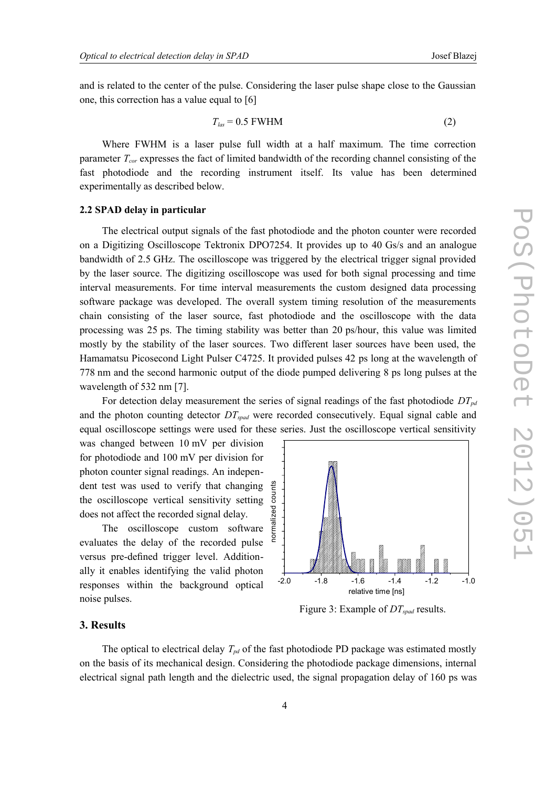and is related to the center of the pulse. Considering the laser pulse shape close to the Gaussian one, this correction has a value equal to [6]

$$
T_{las} = 0.5 \text{ FWHM} \tag{2}
$$

Where FWHM is a laser pulse full width at a half maximum. The time correction parameter *Tcor* expresses the fact of limited bandwidth of the recording channel consisting of the fast photodiode and the recording instrument itself. Its value has been determined experimentally as described below.

#### **2.2 SPAD delay in particular**

The electrical output signals of the fast photodiode and the photon counter were recorded on a Digitizing Oscilloscope Tektronix DPO7254. It provides up to 40 Gs/s and an analogue bandwidth of 2.5 GHz. The oscilloscope was triggered by the electrical trigger signal provided by the laser source. The digitizing oscilloscope was used for both signal processing and time interval measurements. For time interval measurements the custom designed data processing software package was developed. The overall system timing resolution of the measurements chain consisting of the laser source, fast photodiode and the oscilloscope with the data processing was 25 ps. The timing stability was better than 20 ps/hour, this value was limited mostly by the stability of the laser sources. Two different laser sources have been used, the Hamamatsu Picosecond Light Pulser C4725. It provided pulses 42 ps long at the wavelength of 778 nm and the second harmonic output of the diode pumped delivering 8 ps long pulses at the wavelength of 532 nm [7].

For detection delay measurement the series of signal readings of the fast photodiode *DTpd* and the photon counting detector *DTspad* were recorded consecutively. Equal signal cable and equal oscilloscope settings were used for these series. Just the oscilloscope vertical sensitivity

was changed between 10 mV per division for photodiode and 100 mV per division for photon counter signal readings. An independent test was used to verify that changing the oscilloscope vertical sensitivity setting does not affect the recorded signal delay.

The oscilloscope custom software evaluates the delay of the recorded pulse versus pre-defined trigger level. Additionally it enables identifying the valid photon responses within the background optical noise pulses.



#### **3. Results**

The optical to electrical delay  $T_{pd}$  of the fast photodiode PD package was estimated mostly on the basis of its mechanical design. Considering the photodiode package dimensions, internal electrical signal path length and the dielectric used, the signal propagation delay of 160 ps was